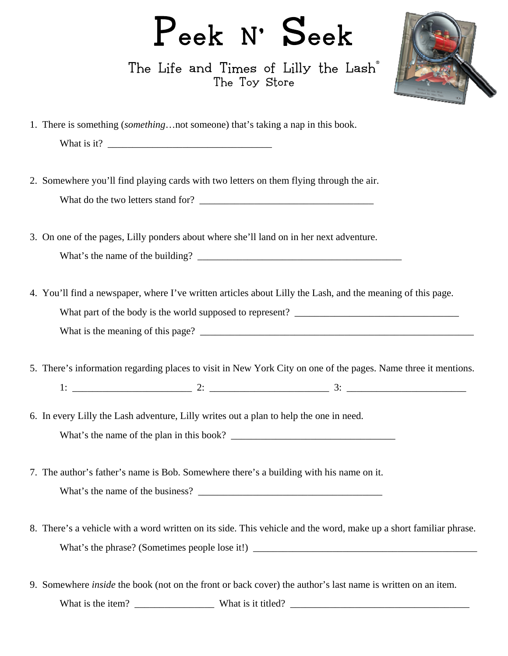## Peek N' Seek

The Life and Times of Lilly the Lash<sup>®</sup> The Toy Store



- 1. There is something (*something*…not someone) that's taking a nap in this book. What is it?
- 2. Somewhere you'll find playing cards with two letters on them flying through the air. What do the two letters stand for? \_\_\_\_\_\_\_\_\_\_\_\_\_\_\_\_\_\_\_\_\_\_\_\_\_\_\_\_\_\_\_\_\_\_\_
- 3. On one of the pages, Lilly ponders about where she'll land on in her next adventure. What's the name of the building?
- 4. You'll find a newspaper, where I've written articles about Lilly the Lash, and the meaning of this page. What part of the body is the world supposed to represent? What is the meaning of this page?
- 5. There's information regarding places to visit in New York City on one of the pages. Name three it mentions.  $1:$   $\frac{1}{2}$   $\frac{1}{2}$   $\frac{1}{2}$   $\frac{1}{2}$   $\frac{1}{2}$   $\frac{1}{2}$   $\frac{1}{2}$   $\frac{1}{2}$   $\frac{1}{2}$   $\frac{1}{2}$   $\frac{1}{2}$   $\frac{1}{2}$   $\frac{1}{2}$   $\frac{1}{2}$   $\frac{1}{2}$   $\frac{1}{2}$   $\frac{1}{2}$   $\frac{1}{2}$   $\frac{1}{2}$   $\frac{1}{2}$   $\frac{1}{2}$   $\frac{1}{$
- 6. In every Lilly the Lash adventure, Lilly writes out a plan to help the one in need. What's the name of the plan in this book?
- 7. The author's father's name is Bob. Somewhere there's a building with his name on it. What's the name of the business?
- 8. There's a vehicle with a word written on its side. This vehicle and the word, make up a short familiar phrase. What's the phrase? (Sometimes people lose it!) \_\_\_\_\_\_\_\_\_\_\_\_\_\_\_\_\_\_\_\_\_\_\_\_\_\_\_\_\_\_\_\_\_\_
- 9. Somewhere *inside* the book (not on the front or back cover) the author's last name is written on an item. What is the item? \_\_\_\_\_\_\_\_\_\_\_\_\_\_\_\_ What is it titled? \_\_\_\_\_\_\_\_\_\_\_\_\_\_\_\_\_\_\_\_\_\_\_\_\_\_\_\_\_\_\_\_\_\_\_\_